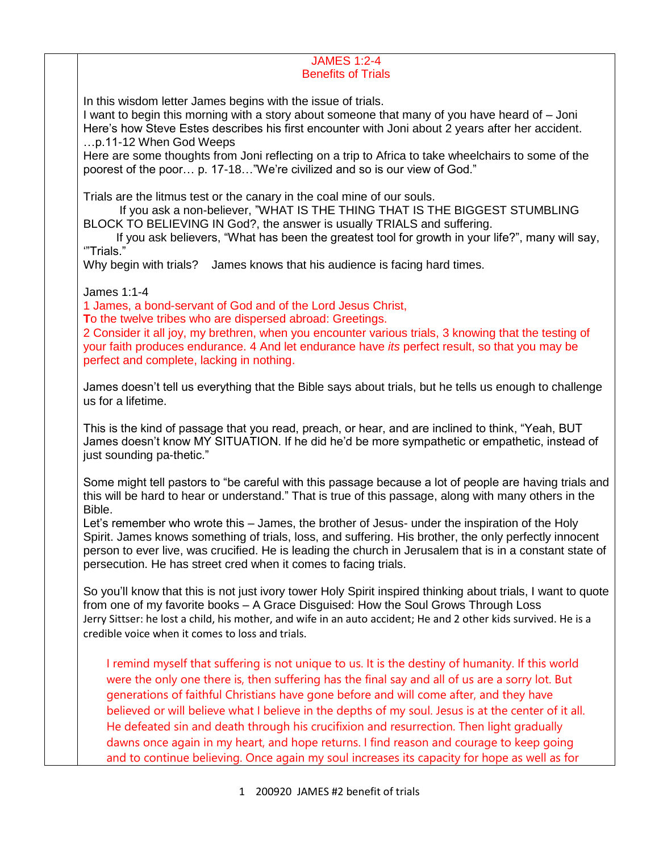## $JAMFS$  1:2-4 Benefits of Trials

In this wisdom letter James begins with the issue of trials.

I want to begin this morning with a story about someone that many of you have heard of – Joni Here's how Steve Estes describes his first encounter with Joni about 2 years after her accident. …p.11-12 When God Weeps

Here are some thoughts from Joni reflecting on a trip to Africa to take wheelchairs to some of the poorest of the poor… p. 17-18…"We're civilized and so is our view of God."

Trials are the litmus test or the canary in the coal mine of our souls.

 If you ask a non-believer, "WHAT IS THE THING THAT IS THE BIGGEST STUMBLING BLOCK TO BELIEVING IN God?, the answer is usually TRIALS and suffering.

 If you ask believers, "What has been the greatest tool for growth in your life?", many will say, '"Trials."

Why begin with trials? James knows that his audience is facing hard times.

James 1:1-4

1 James, a bond-servant of God and of the Lord Jesus Christ,

**T**o the twelve tribes who are dispersed abroad: Greetings.

2 Consider it all joy, my brethren, when you encounter various trials, 3 knowing that the testing of your faith produces endurance. 4 And let endurance have *its* perfect result, so that you may be perfect and complete, lacking in nothing.

James doesn't tell us everything that the Bible says about trials, but he tells us enough to challenge us for a lifetime.

This is the kind of passage that you read, preach, or hear, and are inclined to think, "Yeah, BUT James doesn't know MY SITUATION. If he did he'd be more sympathetic or empathetic, instead of just sounding pa-thetic."

Some might tell pastors to "be careful with this passage because a lot of people are having trials and this will be hard to hear or understand." That is true of this passage, along with many others in the Bible.

Let's remember who wrote this – James, the brother of Jesus- under the inspiration of the Holy Spirit. James knows something of trials, loss, and suffering. His brother, the only perfectly innocent person to ever live, was crucified. He is leading the church in Jerusalem that is in a constant state of persecution. He has street cred when it comes to facing trials.

So you'll know that this is not just ivory tower Holy Spirit inspired thinking about trials, I want to quote from one of my favorite books – A Grace Disguised: How the Soul Grows Through Loss Jerry Sittser: he lost a child, his mother, and wife in an auto accident; He and 2 other kids survived. He is a credible voice when it comes to loss and trials.

I remind myself that suffering is not unique to us. It is the destiny of humanity. If this world were the only one there is, then suffering has the final say and all of us are a sorry lot. But generations of faithful Christians have gone before and will come after, and they have believed or will believe what I believe in the depths of my soul. Jesus is at the center of it all. He defeated sin and death through his crucifixion and resurrection. Then light gradually dawns once again in my heart, and hope returns. I find reason and courage to keep going and to continue believing. Once again my soul increases its capacity for hope as well as for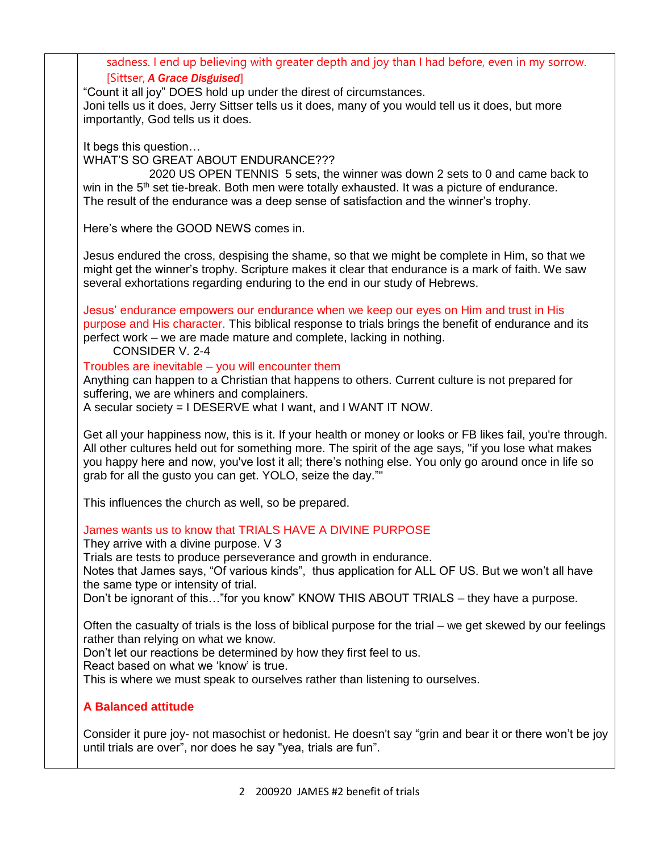| sadness. I end up believing with greater depth and joy than I had before, even in my sorrow.                                                                                             |
|------------------------------------------------------------------------------------------------------------------------------------------------------------------------------------------|
| [Sittser, A Grace Disguised]                                                                                                                                                             |
| "Count it all joy" DOES hold up under the direst of circumstances.<br>Joni tells us it does, Jerry Sittser tells us it does, many of you would tell us it does, but more                 |
| importantly, God tells us it does.                                                                                                                                                       |
|                                                                                                                                                                                          |
| It begs this question                                                                                                                                                                    |
| WHAT'S SO GREAT ABOUT ENDURANCE???                                                                                                                                                       |
| 2020 US OPEN TENNIS 5 sets, the winner was down 2 sets to 0 and came back to                                                                                                             |
| win in the $5th$ set tie-break. Both men were totally exhausted. It was a picture of endurance.<br>The result of the endurance was a deep sense of satisfaction and the winner's trophy. |
|                                                                                                                                                                                          |
| Here's where the GOOD NEWS comes in.                                                                                                                                                     |
| Jesus endured the cross, despising the shame, so that we might be complete in Him, so that we                                                                                            |
| might get the winner's trophy. Scripture makes it clear that endurance is a mark of faith. We saw                                                                                        |
| several exhortations regarding enduring to the end in our study of Hebrews.                                                                                                              |
| Jesus' endurance empowers our endurance when we keep our eyes on Him and trust in His                                                                                                    |
| purpose and His character. This biblical response to trials brings the benefit of endurance and its                                                                                      |
| perfect work – we are made mature and complete, lacking in nothing.                                                                                                                      |
| CONSIDER V. 2-4                                                                                                                                                                          |
| Troubles are inevitable - you will encounter them                                                                                                                                        |
| Anything can happen to a Christian that happens to others. Current culture is not prepared for                                                                                           |
| suffering, we are whiners and complainers.<br>A secular society = I DESERVE what I want, and I WANT IT NOW.                                                                              |
|                                                                                                                                                                                          |
| Get all your happiness now, this is it. If your health or money or looks or FB likes fail, you're through.                                                                               |
| All other cultures held out for something more. The spirit of the age says, "if you lose what makes                                                                                      |
| you happy here and now, you've lost it all; there's nothing else. You only go around once in life so<br>grab for all the gusto you can get. YOLO, seize the day.""                       |
|                                                                                                                                                                                          |
| This influences the church as well, so be prepared.                                                                                                                                      |
| James wants us to know that TRIALS HAVE A DIVINE PURPOSE                                                                                                                                 |
| They arrive with a divine purpose. V 3                                                                                                                                                   |
| Trials are tests to produce perseverance and growth in endurance.                                                                                                                        |
| Notes that James says, "Of various kinds", thus application for ALL OF US. But we won't all have                                                                                         |
| the same type or intensity of trial.<br>Don't be ignorant of this" for you know" KNOW THIS ABOUT TRIALS - they have a purpose.                                                           |
|                                                                                                                                                                                          |
| Often the casualty of trials is the loss of biblical purpose for the trial – we get skewed by our feelings                                                                               |
| rather than relying on what we know.                                                                                                                                                     |
| Don't let our reactions be determined by how they first feel to us.                                                                                                                      |
| React based on what we 'know' is true.<br>This is where we must speak to ourselves rather than listening to ourselves.                                                                   |
|                                                                                                                                                                                          |
| <b>A Balanced attitude</b>                                                                                                                                                               |
| Consider it pure joy- not masochist or hedonist. He doesn't say "grin and bear it or there won't be joy                                                                                  |
| until trials are over", nor does he say "yea, trials are fun".                                                                                                                           |
|                                                                                                                                                                                          |
|                                                                                                                                                                                          |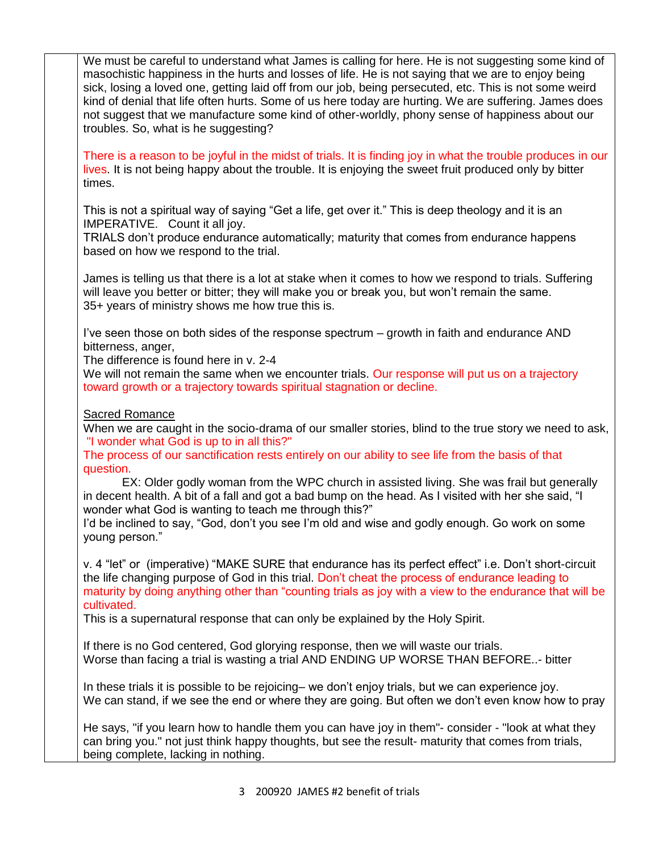We must be careful to understand what James is calling for here. He is not suggesting some kind of masochistic happiness in the hurts and losses of life. He is not saying that we are to enjoy being sick, losing a loved one, getting laid off from our job, being persecuted, etc. This is not some weird kind of denial that life often hurts. Some of us here today are hurting. We are suffering. James does not suggest that we manufacture some kind of other-worldly, phony sense of happiness about our troubles. So, what is he suggesting? There is a reason to be joyful in the midst of trials. It is finding joy in what the trouble produces in our lives. It is not being happy about the trouble. It is enjoying the sweet fruit produced only by bitter times. This is not a spiritual way of saying "Get a life, get over it." This is deep theology and it is an IMPERATIVE. Count it all joy. TRIALS don't produce endurance automatically; maturity that comes from endurance happens based on how we respond to the trial. James is telling us that there is a lot at stake when it comes to how we respond to trials. Suffering will leave you better or bitter; they will make you or break you, but won't remain the same. 35+ years of ministry shows me how true this is. I've seen those on both sides of the response spectrum – growth in faith and endurance AND bitterness, anger, The difference is found here in v. 2-4 We will not remain the same when we encounter trials. Our response will put us on a trajectory toward growth or a trajectory towards spiritual stagnation or decline. Sacred Romance When we are caught in the socio-drama of our smaller stories, blind to the true story we need to ask, "I wonder what God is up to in all this?" The process of our sanctification rests entirely on our ability to see life from the basis of that question. EX: Older godly woman from the WPC church in assisted living. She was frail but generally in decent health. A bit of a fall and got a bad bump on the head. As I visited with her she said, "I wonder what God is wanting to teach me through this?" I'd be inclined to say, "God, don't you see I'm old and wise and godly enough. Go work on some young person." v. 4 "let" or (imperative) "MAKE SURE that endurance has its perfect effect" i.e. Don't short-circuit the life changing purpose of God in this trial. Don't cheat the process of endurance leading to maturity by doing anything other than "counting trials as joy with a view to the endurance that will be cultivated. This is a supernatural response that can only be explained by the Holy Spirit. If there is no God centered, God glorying response, then we will waste our trials. Worse than facing a trial is wasting a trial AND ENDING UP WORSE THAN BEFORE..- bitter In these trials it is possible to be rejoicing– we don't enjoy trials, but we can experience joy. We can stand, if we see the end or where they are going. But often we don't even know how to pray He says, "if you learn how to handle them you can have joy in them"- consider - "look at what they can bring you." not just think happy thoughts, but see the result- maturity that comes from trials, being complete, lacking in nothing.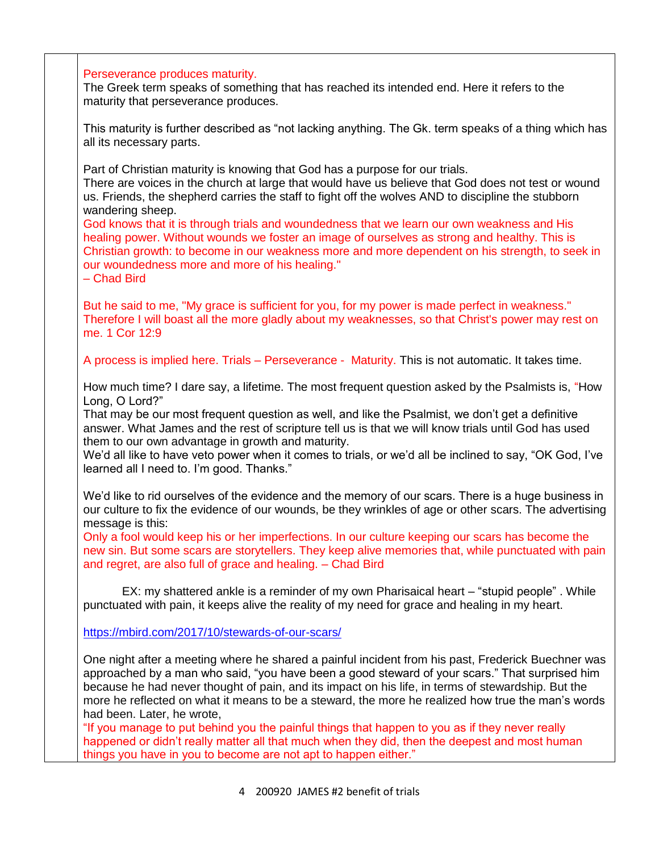## Perseverance produces maturity.

The Greek term speaks of something that has reached its intended end. Here it refers to the maturity that perseverance produces.

This maturity is further described as "not lacking anything. The Gk. term speaks of a thing which has all its necessary parts.

Part of Christian maturity is knowing that God has a purpose for our trials.

There are voices in the church at large that would have us believe that God does not test or wound us. Friends, the shepherd carries the staff to fight off the wolves AND to discipline the stubborn wandering sheep.

God knows that it is through trials and woundedness that we learn our own weakness and His healing power. Without wounds we foster an image of ourselves as strong and healthy. This is Christian growth: to become in our weakness more and more dependent on his strength, to seek in our woundedness more and more of his healing."

– Chad Bird

But he said to me, "My grace is sufficient for you, for my power is made perfect in weakness." Therefore I will boast all the more gladly about my weaknesses, so that Christ's power may rest on me. 1 Cor 12:9

A process is implied here. Trials – Perseverance - Maturity. This is not automatic. It takes time.

How much time? I dare say, a lifetime. The most frequent question asked by the Psalmists is, "How Long, O Lord?"

That may be our most frequent question as well, and like the Psalmist, we don't get a definitive answer. What James and the rest of scripture tell us is that we will know trials until God has used them to our own advantage in growth and maturity.

We'd all like to have veto power when it comes to trials, or we'd all be inclined to say, "OK God, I've learned all I need to. I'm good. Thanks."

We'd like to rid ourselves of the evidence and the memory of our scars. There is a huge business in our culture to fix the evidence of our wounds, be they wrinkles of age or other scars. The advertising message is this:

Only a fool would keep his or her imperfections. In our culture keeping our scars has become the new sin. But some scars are storytellers. They keep alive memories that, while punctuated with pain and regret, are also full of grace and healing. – Chad Bird

EX: my shattered ankle is a reminder of my own Pharisaical heart – "stupid people" . While punctuated with pain, it keeps alive the reality of my need for grace and healing in my heart.

<https://mbird.com/2017/10/stewards-of-our-scars/>

One night after a meeting where he shared a painful incident from his past, Frederick Buechner was approached by a man who said, "you have been a good steward of your scars." That surprised him because he had never thought of pain, and its impact on his life, in terms of stewardship. But the more he reflected on what it means to be a steward, the more he realized how true the man's words had been. Later, he wrote,

"If you manage to put behind you the painful things that happen to you as if they never really happened or didn't really matter all that much when they did, then the deepest and most human things you have in you to become are not apt to happen either."